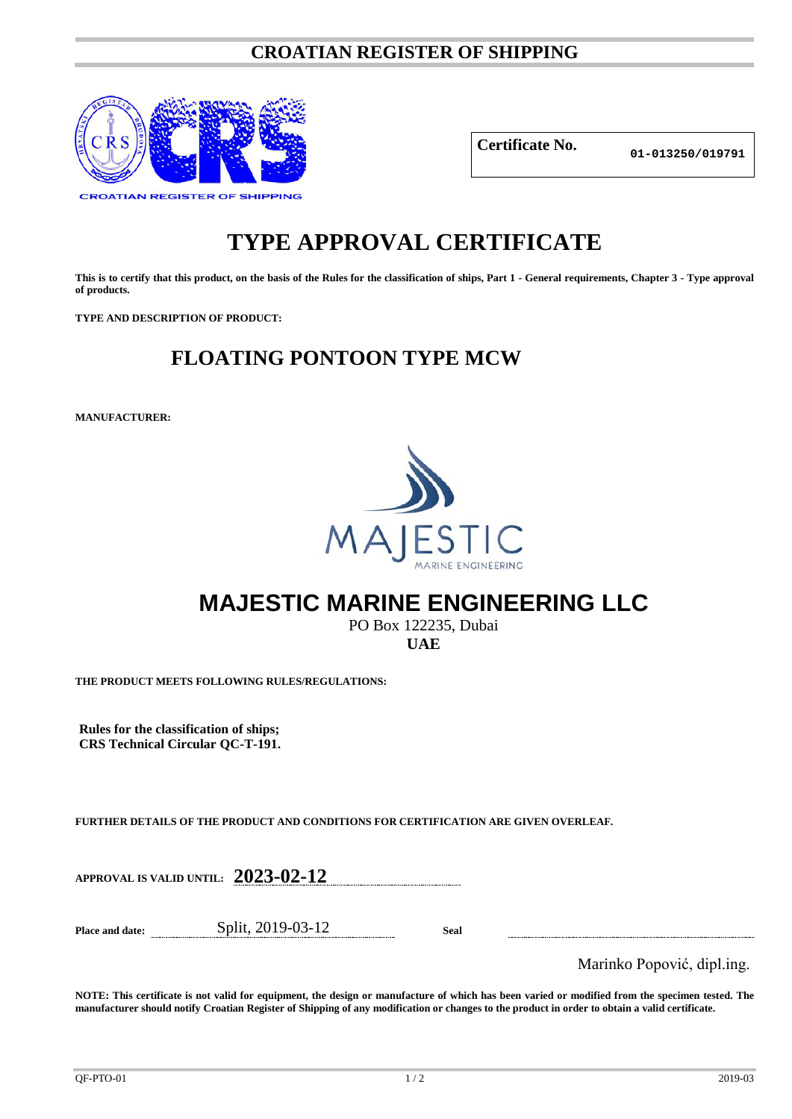#### **CROATIAN REGISTER OF SHIPPING**



**Certificate No.**

**01-013250/019791**

# **TYPE APPROVAL CERTIFICATE**

**This is to certify that this product, on the basis of the Rules for the classification of ships, Part 1 - General requirements, Chapter 3 - Type approval of products.**

**TYPE AND DESCRIPTION OF PRODUCT:** 

## **FLOATING PONTOON TYPE MCW**

**MANUFACTURER:**



## **MAJESTIC MARINE ENGINEERING LLC**

PO Box 122235, Dubai **UAE**

**THE PRODUCT MEETS FOLLOWING RULES/REGULATIONS:**

**Rules for the classification of ships; CRS Technical Circular QC-T-191.**

**FURTHER DETAILS OF THE PRODUCT AND CONDITIONS FOR CERTIFICATION ARE GIVEN OVERLEAF.**

**APPROVAL IS VALID UNTIL: 2023-02-12**

**Place and date:** Split, 2019-03-12 **Seal**

Marinko Popović, dipl.ing.

**NOTE: This certificate is not valid for equipment, the design or manufacture of which has been varied or modified from the specimen tested. The manufacturer should notify Croatian Register of Shipping of any modification or changes to the product in order to obtain a valid certificate.**